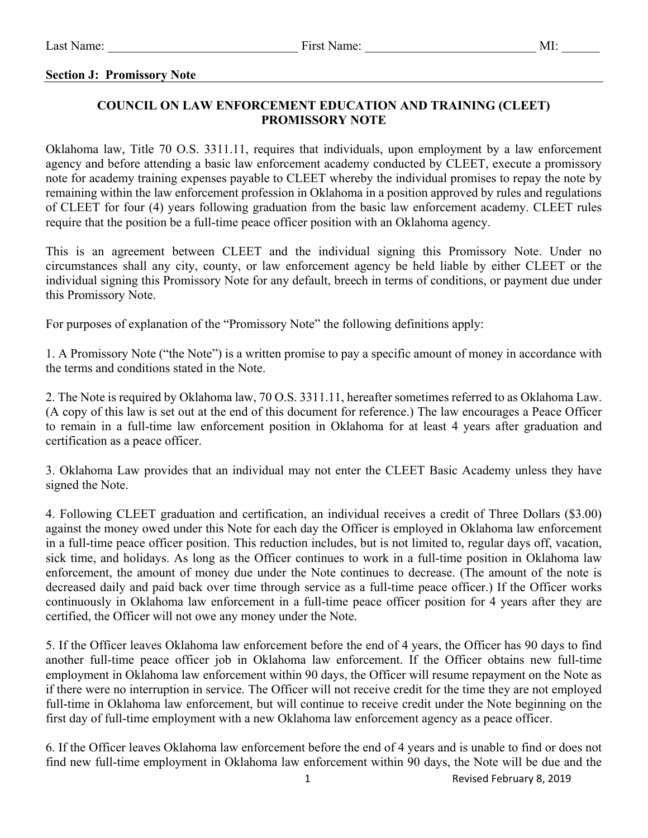### **Section J: Promissory Note**

## **COUNCIL ON LAW ENFORCEMENT EDUCATION AND TRAINING (CLEET) PROMISSORY NOTE**

Oklahoma law, Title 70 O.S. 3311.11, requires that individuals, upon employment by a law enforcement agency and before attending a basic law enforcement academy conducted by CLEET, execute a promissory note for academy training expenses payable to CLEET whereby the individual promises to repay the note by remaining within the law enforcement profession in Oklahoma in a position approved by rules and regulations of CLEET for four (4) years following graduation from the basic law enforcement academy. CLEET rules require that the position be a full-time peace officer position with an Oklahoma agency.

This is an agreement between CLEET and the individual signing this Promissory Note. Under no circumstances shall any city, county, or law enforcement agency be held liable by either CLEET or the individual signing this Promissory Note for any default, breech in terms of conditions, or payment due under this Promissory Note.

For purposes of explanation of the "Promissory Note" the following definitions apply:

1. A Promissory Note ("the Note") is a written promise to pay a specific amount of money in accordance with the terms and conditions stated in the Note.

2. The Note is required by Oklahoma law, 70 O.S. 3311.11, hereafter sometimes referred to as Oklahoma Law. (A copy of this law is set out at the end of this document for reference.) The law encourages a Peace Officer to remain in a full-time law enforcement position in Oklahoma for at least 4 years after graduation and certification as a peace officer.

3. Oklahoma Law provides that an individual may not enter the CLEET Basic Academy unless they have signed the Note.

4. Following CLEET graduation and certification, an individual receives a credit of Three Dollars (\$3.00) against the money owed under this Note for each day the Officer is employed in Oklahoma law enforcement in a full-time peace officer position. This reduction includes, but is not limited to, regular days off, vacation, sick time, and holidays. As long as the Officer continues to work in a full-time position in Oklahoma law enforcement, the amount of money due under the Note continues to decrease. (The amount of the note is decreased daily and paid back over time through service as a full-time peace officer.) If the Officer works continuously in Oklahoma law enforcement in a full-time peace officer position for 4 years after they are certified, the Officer will not owe any money under the Note.

5. If the Officer leaves Oklahoma law enforcement before the end of 4 years, the Officer has 90 days to find another full-time peace officer job in Oklahoma law enforcement. If the Officer obtains new full-time employment in Oklahoma law enforcement within 90 days, the Officer will resume repayment on the Note as if there were no interruption in service. The Officer will not receive credit for the time they are not employed full-time in Oklahoma law enforcement, but will continue to receive credit under the Note beginning on the first day of full-time employment with a new Oklahoma law enforcement agency as a peace officer.

6. If the Officer leaves Oklahoma law enforcement before the end of 4 years and is unable to find or does not find new full-time employment in Oklahoma law enforcement within 90 days, the Note will be due and the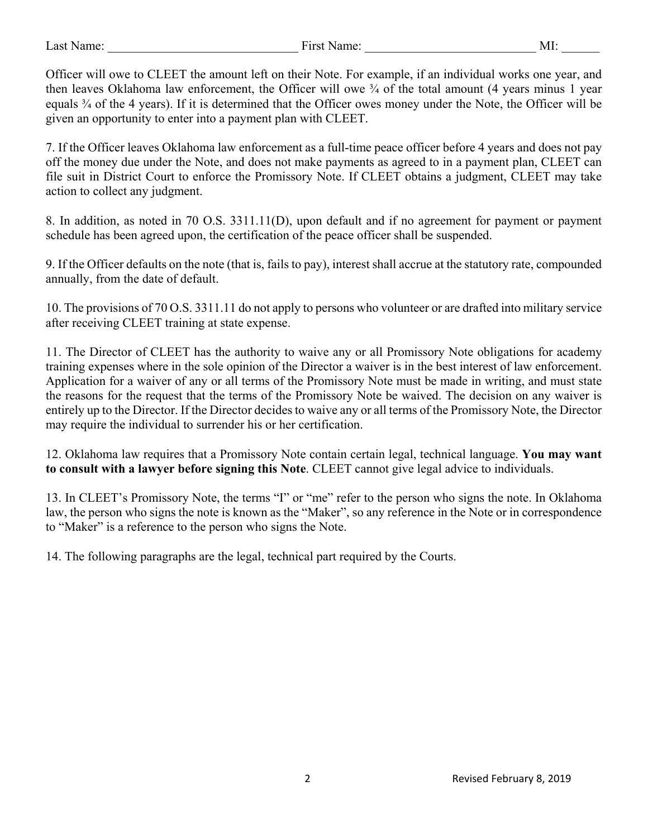7. If the Officer leaves Oklahoma law enforcement as a full-time peace officer before 4 years and does not pay off the money due under the Note, and does not make payments as agreed to in a payment plan, CLEET can file suit in District Court to enforce the Promissory Note. If CLEET obtains a judgment, CLEET may take action to collect any judgment.

8. In addition, as noted in 70 O.S. 3311.11(D), upon default and if no agreement for payment or payment schedule has been agreed upon, the certification of the peace officer shall be suspended.

9. If the Officer defaults on the note (that is, fails to pay), interest shall accrue at the statutory rate, compounded annually, from the date of default.

10. The provisions of 70 O.S. 3311.11 do not apply to persons who volunteer or are drafted into military service after receiving CLEET training at state expense.

11. The Director of CLEET has the authority to waive any or all Promissory Note obligations for academy training expenses where in the sole opinion of the Director a waiver is in the best interest of law enforcement. Application for a waiver of any or all terms of the Promissory Note must be made in writing, and must state the reasons for the request that the terms of the Promissory Note be waived. The decision on any waiver is entirely up to the Director. If the Director decides to waive any or all terms of the Promissory Note, the Director may require the individual to surrender his or her certification.

12. Oklahoma law requires that a Promissory Note contain certain legal, technical language. **You may want to consult with a lawyer before signing this Note**. CLEET cannot give legal advice to individuals.

13. In CLEET's Promissory Note, the terms "I" or "me" refer to the person who signs the note. In Oklahoma law, the person who signs the note is known as the "Maker", so any reference in the Note or in correspondence to "Maker" is a reference to the person who signs the Note.

14. The following paragraphs are the legal, technical part required by the Courts.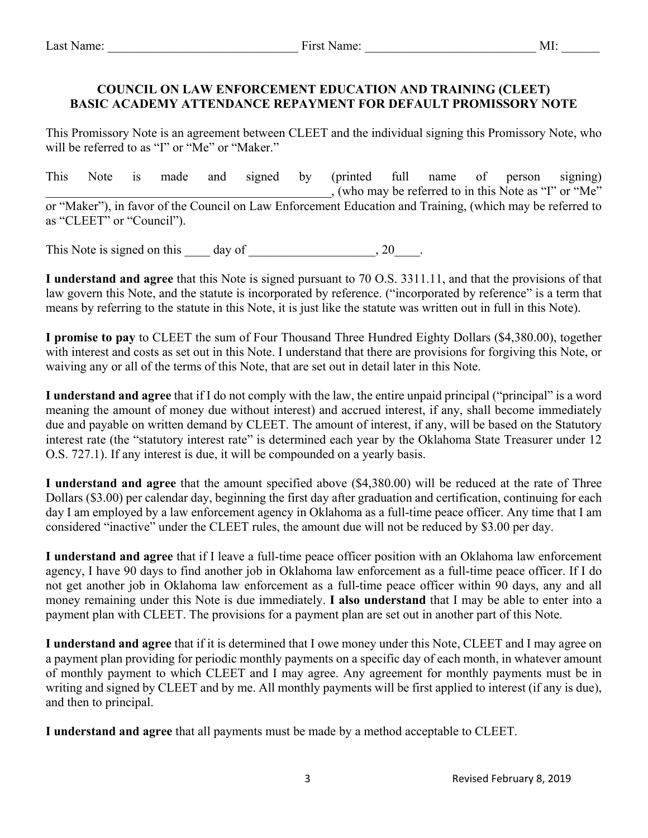### **COUNCIL ON LAW ENFORCEMENT EDUCATION AND TRAINING (CLEET) BASIC ACADEMY ATTENDANCE REPAYMENT FOR DEFAULT PROMISSORY NOTE**

This Promissory Note is an agreement between CLEET and the individual signing this Promissory Note, who will be referred to as "I" or "Me" or "Maker."

This Note is made and signed by (printed full name of person signing) \_\_\_\_\_\_\_\_\_\_\_\_\_\_\_\_\_\_\_\_\_\_\_\_\_\_\_\_\_\_\_\_\_\_\_\_\_\_\_\_\_\_\_\_\_, (who may be referred to in this Note as "I" or "Me" or "Maker"), in favor of the Council on Law Enforcement Education and Training, (which may be referred to as "CLEET" or "Council").

This Note is signed on this day of the same state of the same state of the same state of the same state of the same state of the same state of the same state of the same state of the state of the state of the state of the

**I understand and agree** that this Note is signed pursuant to 70 O.S. 3311.11, and that the provisions of that law govern this Note, and the statute is incorporated by reference. ("incorporated by reference" is a term that means by referring to the statute in this Note, it is just like the statute was written out in full in this Note).

**I promise to pay** to CLEET the sum of Four Thousand Three Hundred Eighty Dollars (\$4,380.00), together with interest and costs as set out in this Note. I understand that there are provisions for forgiving this Note, or waiving any or all of the terms of this Note, that are set out in detail later in this Note.

**I understand and agree** that if I do not comply with the law, the entire unpaid principal ("principal" is a word meaning the amount of money due without interest) and accrued interest, if any, shall become immediately due and payable on written demand by CLEET. The amount of interest, if any, will be based on the Statutory interest rate (the "statutory interest rate" is determined each year by the Oklahoma State Treasurer under 12 O.S. 727.1). If any interest is due, it will be compounded on a yearly basis.

**I understand and agree** that the amount specified above (\$4,380.00) will be reduced at the rate of Three Dollars (\$3.00) per calendar day, beginning the first day after graduation and certification, continuing for each day I am employed by a law enforcement agency in Oklahoma as a full-time peace officer. Any time that I am considered "inactive" under the CLEET rules, the amount due will not be reduced by \$3.00 per day.

**I understand and agree** that if I leave a full-time peace officer position with an Oklahoma law enforcement agency, I have 90 days to find another job in Oklahoma law enforcement as a full-time peace officer. If I do not get another job in Oklahoma law enforcement as a full-time peace officer within 90 days, any and all money remaining under this Note is due immediately. **I also understand** that I may be able to enter into a payment plan with CLEET. The provisions for a payment plan are set out in another part of this Note.

**I understand and agree** that if it is determined that I owe money under this Note, CLEET and I may agree on a payment plan providing for periodic monthly payments on a specific day of each month, in whatever amount of monthly payment to which CLEET and I may agree. Any agreement for monthly payments must be in writing and signed by CLEET and by me. All monthly payments will be first applied to interest (if any is due), and then to principal.

**I understand and agree** that all payments must be made by a method acceptable to CLEET.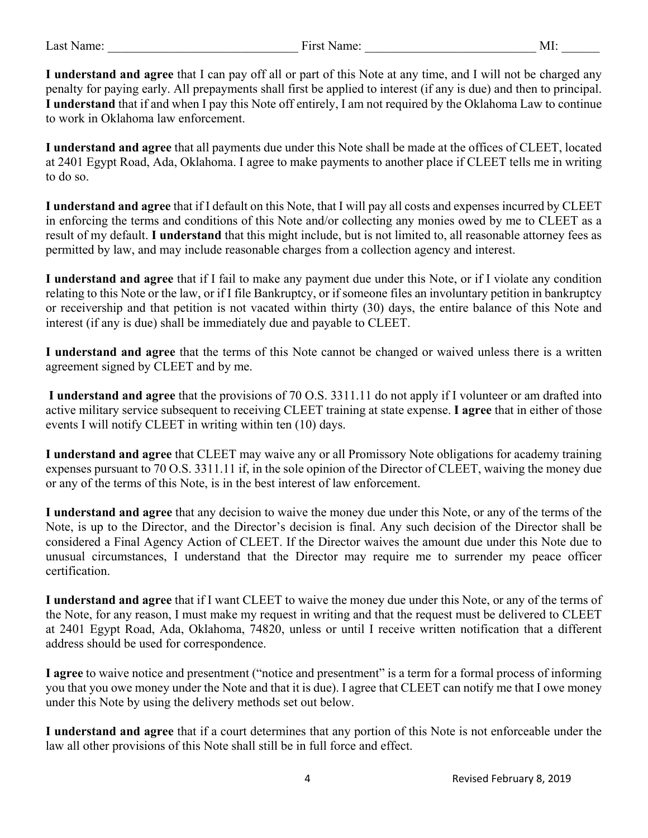**I understand and agree** that all payments due under this Note shall be made at the offices of CLEET, located at 2401 Egypt Road, Ada, Oklahoma. I agree to make payments to another place if CLEET tells me in writing to do so.

**I understand and agree** that if I default on this Note, that I will pay all costs and expenses incurred by CLEET in enforcing the terms and conditions of this Note and/or collecting any monies owed by me to CLEET as a result of my default. **I understand** that this might include, but is not limited to, all reasonable attorney fees as permitted by law, and may include reasonable charges from a collection agency and interest.

**I understand and agree** that if I fail to make any payment due under this Note, or if I violate any condition relating to this Note or the law, or if I file Bankruptcy, or if someone files an involuntary petition in bankruptcy or receivership and that petition is not vacated within thirty (30) days, the entire balance of this Note and interest (if any is due) shall be immediately due and payable to CLEET.

**I understand and agree** that the terms of this Note cannot be changed or waived unless there is a written agreement signed by CLEET and by me.

**I understand and agree** that the provisions of 70 O.S. 3311.11 do not apply if I volunteer or am drafted into active military service subsequent to receiving CLEET training at state expense. **I agree** that in either of those events I will notify CLEET in writing within ten (10) days.

**I understand and agree** that CLEET may waive any or all Promissory Note obligations for academy training expenses pursuant to 70 O.S. 3311.11 if, in the sole opinion of the Director of CLEET, waiving the money due or any of the terms of this Note, is in the best interest of law enforcement.

**I understand and agree** that any decision to waive the money due under this Note, or any of the terms of the Note, is up to the Director, and the Director's decision is final. Any such decision of the Director shall be considered a Final Agency Action of CLEET. If the Director waives the amount due under this Note due to unusual circumstances, I understand that the Director may require me to surrender my peace officer certification.

**I understand and agree** that if I want CLEET to waive the money due under this Note, or any of the terms of the Note, for any reason, I must make my request in writing and that the request must be delivered to CLEET at 2401 Egypt Road, Ada, Oklahoma, 74820, unless or until I receive written notification that a different address should be used for correspondence.

**I agree** to waive notice and presentment ("notice and presentment" is a term for a formal process of informing you that you owe money under the Note and that it is due). I agree that CLEET can notify me that I owe money under this Note by using the delivery methods set out below.

**I understand and agree** that if a court determines that any portion of this Note is not enforceable under the law all other provisions of this Note shall still be in full force and effect.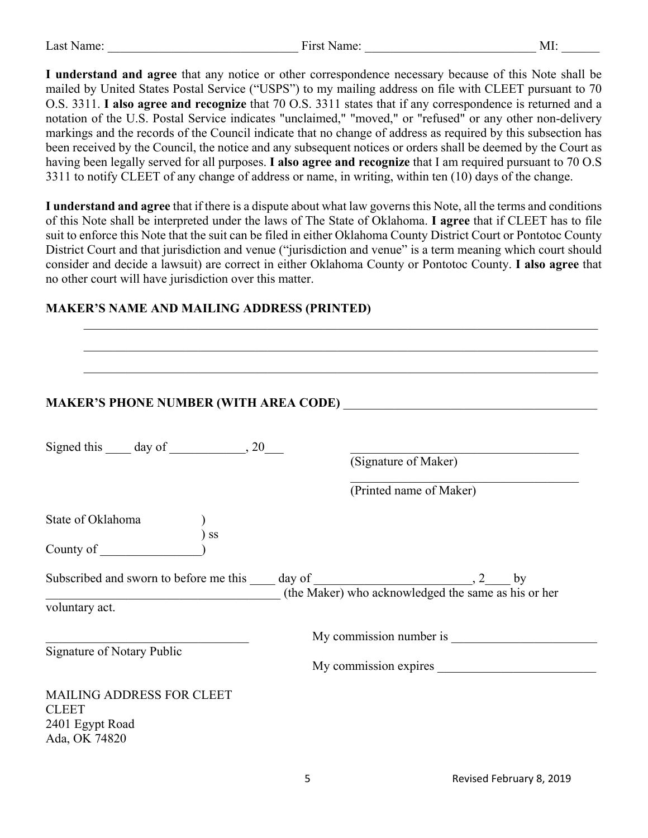| $\tilde{\phantom{a}}$<br>Las'<br>. | าเ | $\mathbf{r}$<br>MН |
|------------------------------------|----|--------------------|
|                                    |    |                    |

**I understand and agree** that any notice or other correspondence necessary because of this Note shall be mailed by United States Postal Service ("USPS") to my mailing address on file with CLEET pursuant to 70 O.S. 3311. **I also agree and recognize** that 70 O.S. 3311 states that if any correspondence is returned and a notation of the U.S. Postal Service indicates "unclaimed," "moved," or "refused" or any other non-delivery markings and the records of the Council indicate that no change of address as required by this subsection has been received by the Council, the notice and any subsequent notices or orders shall be deemed by the Court as having been legally served for all purposes. **I also agree and recognize** that I am required pursuant to 70 O.S 3311 to notify CLEET of any change of address or name, in writing, within ten (10) days of the change.

**I understand and agree** that if there is a dispute about what law governs this Note, all the terms and conditions of this Note shall be interpreted under the laws of The State of Oklahoma. **I agree** that if CLEET has to file suit to enforce this Note that the suit can be filed in either Oklahoma County District Court or Pontotoc County District Court and that jurisdiction and venue ("jurisdiction and venue" is a term meaning which court should consider and decide a lawsuit) are correct in either Oklahoma County or Pontotoc County. **I also agree** that no other court will have jurisdiction over this matter.

| Signed this _____ day of ______________, 20____                                                               | (Signature of Maker)                                                                                                                  |
|---------------------------------------------------------------------------------------------------------------|---------------------------------------------------------------------------------------------------------------------------------------|
|                                                                                                               | (Printed name of Maker)                                                                                                               |
| State of Oklahoma                                                                                             |                                                                                                                                       |
| $)$ ss<br>County of $\frac{1}{\sqrt{1-\frac{1}{2}}}\left\vert \int_{0}^{1}1^{x}\left( x\right) dx\right\vert$ |                                                                                                                                       |
|                                                                                                               | Subscribed and sworn to before me this $\_\_\_\_$ day of $\_\_\_\_$ , 2 by $\_\_\_\_\_$ , by $\_\_\_\_\_\_$ , 2 by $\_\_\_\_\_\_\_\_$ |
| voluntary act.                                                                                                |                                                                                                                                       |
|                                                                                                               | My commission number is                                                                                                               |
| Signature of Notary Public                                                                                    |                                                                                                                                       |
|                                                                                                               |                                                                                                                                       |
| <b>MAILING ADDRESS FOR CLEET</b><br><b>CLEET</b>                                                              |                                                                                                                                       |
| 2401 Egypt Road<br>Ada, OK 74820                                                                              |                                                                                                                                       |
|                                                                                                               |                                                                                                                                       |

# **MAKER'S NAME AND MAILING ADDRESS (PRINTED)**